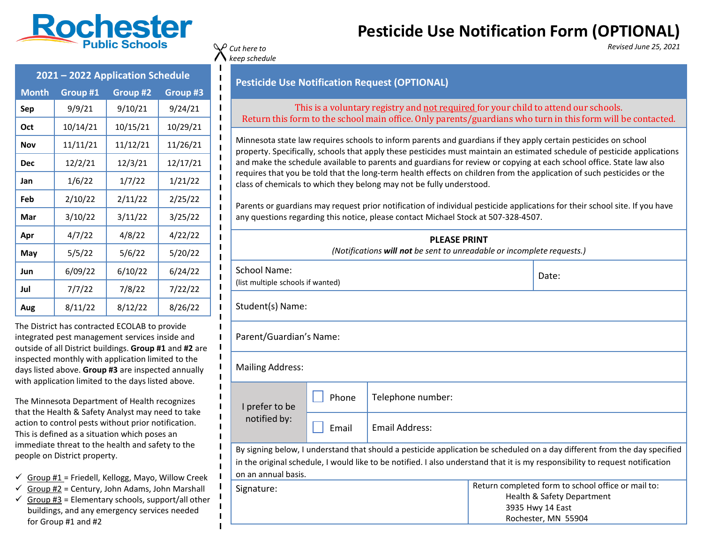

# **Pesticide Use Notification Form (OPTIONAL)**

 $Q$  Cut here to *keep schedule*

 $\blacksquare$  $\blacksquare$  $\blacksquare$  $\blacksquare$  $\mathbf{I}$  *Cut here to Revised June 25, 2021*

| 2021 - 2022 Application Schedule |          |          |          |  |  |
|----------------------------------|----------|----------|----------|--|--|
| <b>Month</b>                     | Group #1 | Group #2 | Group #3 |  |  |
| Sep                              | 9/9/21   | 9/10/21  | 9/24/21  |  |  |
| Oct                              | 10/14/21 | 10/15/21 | 10/29/21 |  |  |
| Nov                              | 11/11/21 | 11/12/21 | 11/26/21 |  |  |
| Dec                              | 12/2/21  | 12/3/21  | 12/17/21 |  |  |
| Jan                              | 1/6/22   | 1/7/22   | 1/21/22  |  |  |
| Feb                              | 2/10/22  | 2/11/22  | 2/25/22  |  |  |
| Mar                              | 3/10/22  | 3/11/22  | 3/25/22  |  |  |
| Apr                              | 4/7/22   | 4/8/22   | 4/22/22  |  |  |
| May                              | 5/5/22   | 5/6/22   | 5/20/22  |  |  |
| Jun                              | 6/09/22  | 6/10/22  | 6/24/22  |  |  |
| Jul                              | 7/7/22   | 7/8/22   | 7/22/22  |  |  |
| Aug                              | 8/11/22  | 8/12/22  | 8/26/22  |  |  |

The District has contracted ECOLAB to provide integrated pest management services inside and outside of all District buildings. **Group #1** and **#2** are inspected monthly with application limited to the days listed above. **Group #3** are inspected annually with application limited to the days listed above.

The Minnesota Department of Health recognizes that the Health & Safety Analyst may need to take action to control pests without prior notification. This is defined as a situation which poses an immediate threat to the health and safety to the people on District property.

 $\checkmark$  Group #1 = Friedell, Kellogg, Mayo, Willow Creek

 $\checkmark$  Group #2 = Century, John Adams, John Marshall

 $\checkmark$  Group #3 = Elementary schools, support/all other buildings, and any emergency services needed for Group #1 and #2

**Pesticide Use Notification Request (OPTIONAL)**

This is a voluntary registry and not required for your child to attend our schools. Return this form to the school main office. Only parents/guardians who turn in this form will be contacted.

Minnesota state law requires schools to inform parents and guardians if they apply certain pesticides on school property. Specifically, schools that apply these pesticides must maintain an estimated schedule of pesticide applications and make the schedule available to parents and guardians for review or copying at each school office. State law also requires that you be told that the long-term health effects on children from the application of such pesticides or the class of chemicals to which they belong may not be fully understood.

Parents or guardians may request prior notification of individual pesticide applications for their school site. If you have any questions regarding this notice, please contact Michael Stock at 507-328-4507.

| <b>PLEASE PRINT</b><br>(Notifications will not be sent to unreadable or incomplete requests.)                                 |       |                                                |                                                    |  |  |  |
|-------------------------------------------------------------------------------------------------------------------------------|-------|------------------------------------------------|----------------------------------------------------|--|--|--|
| School Name:                                                                                                                  |       | Date:                                          |                                                    |  |  |  |
| (list multiple schools if wanted)                                                                                             |       |                                                |                                                    |  |  |  |
| Student(s) Name:                                                                                                              |       |                                                |                                                    |  |  |  |
| Parent/Guardian's Name:                                                                                                       |       |                                                |                                                    |  |  |  |
| <b>Mailing Address:</b>                                                                                                       |       |                                                |                                                    |  |  |  |
| I prefer to be<br>notified by:                                                                                                | Phone | Telephone number:                              |                                                    |  |  |  |
|                                                                                                                               | Email | <b>Email Address:</b>                          |                                                    |  |  |  |
| By signing below, I understand that should a pesticide application be scheduled on a day different from the day specified     |       |                                                |                                                    |  |  |  |
| in the original schedule, I would like to be notified. I also understand that it is my responsibility to request notification |       |                                                |                                                    |  |  |  |
| on an annual basis.                                                                                                           |       |                                                |                                                    |  |  |  |
| Signature:                                                                                                                    |       |                                                | Return completed form to school office or mail to: |  |  |  |
|                                                                                                                               |       | Health & Safety Department<br>3935 Hwy 14 East |                                                    |  |  |  |
|                                                                                                                               |       |                                                |                                                    |  |  |  |
|                                                                                                                               |       |                                                | Rochester, MN 55904                                |  |  |  |